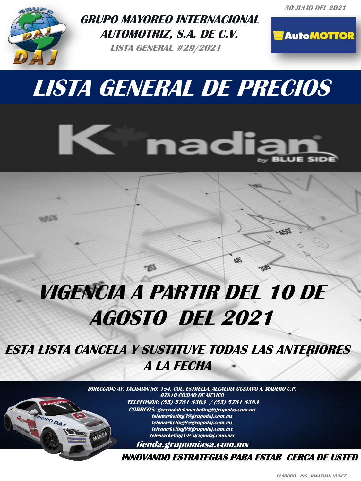**30 JULIO DEL 2021**



 $0.553$ 

RUPO DAJ

**GRUPO MAYOREO INTERNACIONAL AUTOMOTRIZ, S.A. DE C.V.** 

**LISTA GENERAL #29/2021**



## **LISTA GENERAL DE PRECIOS**



## **VIGENCIA A PARTIR DEL 10 DE AGOSTO DEL 2021**

**ESTA LISTA CANCELA Y SUSTITUYE TODAS LAS ANTERIORES A LA FECHA** 

> **INTERNACIONAL AUTOMOTRIZ, FAX: 5750 1944 NEXTEL: 4610 1944 NEXTEL: 4610 1944 NEXTEL: 4610 1944 NEXTEL: 4610 1944 NEXTEL: 4610 1944 NEXTE DIRECCIÓN: AV. TALISMAN NO. 184, COL, ESTRELLA, ALCALDIA GUSTAVO A. MADERO C.P. 07810 CIUDAD DE MEXICO TELEFONOS: (55) 5781 8303 / (55) 5781 8383 CORREOS: gerenciatelemarketing@grupodaj.com.mx telemarketing3@grupodaj.com.mx telemarketing8@grupodaj.com.mx telemarketing9@grupodaj.com.mx telemarketing14@grupodaj.com.mx tienda.grupomiasa.com.mx**

> > **EMAIL: gerenciatelemarketing@grupodaj.com.mx gerenciaventas@grupomiasa.com.mx INNOVANDO ESTRATEGIAS PARA ESTAR CERCA DE USTED**

òд

**ELABORÒ: ING. JONATHAN NUÑEZ**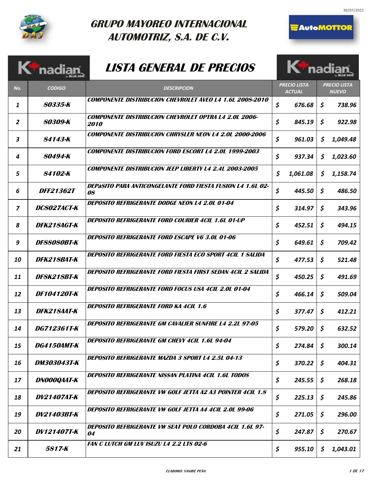

## **GRUPO MAYOREO INTERNACIONAL AUTOMOTRIZ, S.A. DE C.V.**

## **LISTA GENERAL DE PRECIOS**



K<sup>ip</sup>nadiar

|                          | Kinadian           | <b>LISTA GENERAL DE PRECIOS</b>                                             | <b>K<sup>T</sup>nadia</b>            |              |                                     |
|--------------------------|--------------------|-----------------------------------------------------------------------------|--------------------------------------|--------------|-------------------------------------|
| No.                      | <b>CODIGO</b>      | <b>DESCRIPCION</b>                                                          | <b>PRECIO LISTA</b><br><b>ACTUAL</b> |              | <b>PRECIO LISTA</b><br><b>NUEVO</b> |
| 1                        | 80335-K            | <b>COMPONENTE DISTRIBUCION CHEVROLET AVEO L4 1.6L 2008-2010</b>             | \$<br>676.68                         | S.           | 738.96                              |
| $\overline{2}$           | 80309-K            | <b>COMPONENTE DISTRIBUCION CHEVROLET OPTRA L4 2.0L 2006-</b><br><i>2010</i> | \$<br>845.19                         | \$           | 922.98                              |
| 3                        | 84143-K            | <b>COMPONENTE DISTRIBUCION CHRYSLER NEON L4 2.0L 2000-2006</b>              | \$<br>961.03                         | \$           | 1,049.48                            |
| 4                        | 80494-K            | <b>COMPONENTE DISTRIBUCION FORD ESCORT L4 2.0L 1999-2003</b>                | \$<br>937.34                         | \$           | 1,023.60                            |
| 5                        | 84102-K            | <b>COMPONENTE DISTRIBUCION JEEP LIBERTY L4 2.4L 2003-2005</b>               | \$<br>1,061.08                       | \$           | 1,158.74                            |
| 6                        | <i>DFF21362T</i>   | <b>DEPÀSITO PARA ANTICONGELANTE FORD FIESTA FUSION L4 1.6L 02-</b><br>08    | \$<br>445.50                         | \$           | 486.50                              |
| $\overline{\phantom{a}}$ | <b>DC8027ACT-K</b> | <b>DEPOSITO REFRIGERANTE DODGE NEON L4 2.0L 01-04</b>                       | \$<br>314.97                         | \$           | 343.96                              |
| 8                        | DFK218AGT-K        | <b>DEPOSITO REFRIGERANTE FORD COURIER 4CIL 1.6L 01-UP</b>                   | \$<br>452.51                         | S.           | 494.15                              |
| 9                        | DF88080BT-K        | <b>DEPOSITO REFRIGERANTE FORD ESCAPE V6 3.0L 01-06</b>                      | \$<br>649.61                         | \$           | 709.42                              |
| 10                       | DFK218BAT-K        | DEPOSITO REFRIGERANTE FORD FIESTA ECO SPORT 4CIL 1 SALIDA                   | \$<br>477.53                         | \$           | 521.48                              |
| 11                       | DF8K218BT-K        | DEPOSITO REFRIGERANTE FORD FIESTA FIRST SEDAN 4CIL 2 SALIDA                 | \$<br>450.25                         | \$.          | 491.69                              |
| 12                       | DF104120T-K        | DEPOSITO REFRIGERANTE FORD FOCUS USA 4CIL 2.0L 01-04                        | \$<br>466.14                         | \$           | 509.04                              |
| 13                       | <b>DFK218AAT-K</b> | <b>DEPOSITO REFRIGERANTE FORD KA 4CIL 1.6</b>                               | \$<br>377.47                         | \$           | 412.21                              |
| 14                       | <i>DG712361T-K</i> | <b>DEPOSITO REFRIGERANTE GM CAVALIER SUNFIRE L4 2.2L 97-05</b>              | \$<br>579.20                         | \$           | 632.52                              |
| 15                       | <i>DG4150AMT-K</i> | DEPOSITO REFRIGERANTE GM CHEVY 4CIL 1.6L 94-04                              | \$<br>274.84                         | $\mathsf{S}$ | 300.14                              |
| 16                       | <b>DM303043T-K</b> | DEPOSITO REFRIGERANTE MAZDA 3 SPORT L4 2.5L 04-13                           | \$<br>370.22                         | \$           | 404.31                              |
| 17                       | DNOOOQAAT-K        | DEPOSITO REFRIGERANTE NISSAN PLATINA 4CIL 1.6L TODOS                        | \$<br>245.55                         | $\mathsf{S}$ | 268.18                              |
| 18                       | <i>DV21407AT-K</i> | <b>DEPOSITO REFRIGERANTE VW GOLF JETTA A2 A3 POINTER 4CIL 1.8</b>           | \$<br>225.13                         | $\mathsf{S}$ | 245.86                              |
| 19                       | <i>DV21403BT-K</i> | DEPOSITO REFRIGERANTE VW GOLF JETTA A4 4CIL 2.0L 99-06                      | \$<br>271.05                         | \$           | 296.00                              |
| 20                       | <i>DV121407T-K</i> | <b>DEPOSITO REFRIGERANTE VW SEAT POLO CORDOBA 4CIL 1.6L 97-</b><br>04       | \$<br>247.87                         | \$           | 270.67                              |
| 21                       | 5817-K             | <b>FAN C LUTCH GM LUV ISUZU L4 2.2 LTS 02-6</b>                             | \$<br>955.10                         | S.           | 1,043.01                            |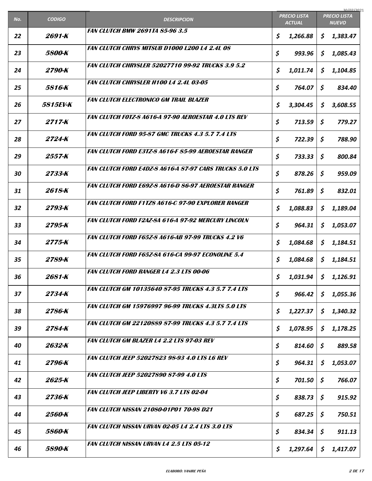| No. | <b>CODIGO</b>        | <b>DESCRIPCION</b>                                             |    | <b>PRECIO LISTA</b><br><b>ACTUAL</b> |                        | 30/07/2021<br><b>PRECIO LISTA</b><br><b>NUEVO</b> |
|-----|----------------------|----------------------------------------------------------------|----|--------------------------------------|------------------------|---------------------------------------------------|
| 22  | 2691-K               | <b>FAN CLUTCH BMW 2691TA 85-96 3.5</b>                         | \$ | 1,266.88                             | \$                     | 1,383.47                                          |
| 23  | <i><b>5800-K</b></i> | <b>FAN CLUTCH CHRYS MITSUB D1000 L200 L4 2.4L 08</b>           | \$ | 993.96                               | $\mathsf{S}$           | 1,085.43                                          |
| 24  | 2790-K               | <b>FAN CLUTCH CHRYSLER 52027710 99-92 TRUCKS 3.9 5.2</b>       | \$ | 1,011.74                             | \$                     | 1,104.85                                          |
| 25  | <i>5816-K</i>        | <b>FAN CLUTCH CHRYSLER H100 L4 2.4L 03-05</b>                  | \$ | 764.07                               | \$                     | 834.40                                            |
| 26  | <i>5815EV-K</i>      | <b>FAN CLUTCH ELECTRONICO GM TRAIL BLAZER</b>                  | \$ | 3,304.45                             | \$                     | 3,608.55                                          |
| 27  | 2717-K               | <b>FAN CLUTCH FOTZ-8 A616-A 97-90 AEROESTAR 4.0 LTS REV</b>    | \$ | 713.59                               | \$                     | 779.27                                            |
| 28  | 2724-K               | <b>FAN CLUTCH FORD 95-87 GMC TRUCKS 4.3 5.7 7.4 LTS</b>        | \$ | 722.39                               | \$                     | 788.90                                            |
| 29  | 2557-K               | <b>FAN CLUTCH FORD E3TZ-8 A616-F 85-99 AEROESTAR RANGER</b>    | \$ | 733.33                               | \$                     | 800.84                                            |
| 30  | 2733-K               | <b>FAN CLUTCH FORD E4DZ-8 A616-A 87-97 CARS TRUCKS 5.0 LTS</b> | \$ | 878.26                               | \$                     | 959.09                                            |
| 31  | 2618-K               | FAN CLUTCH FORD E69Z-8 A616-D 86-97 AEROESTAR RANGER           | \$ | 761.89                               | \$                     | 832.01                                            |
| 32  | 2793-K               | <b>FAN CLUTCH FORD F1TZ8 A616-C 97-90 EXPLORER RANGER</b>      | \$ | 1,088.83                             | \$                     | 1,189.04                                          |
| 33  | 2795-K               | <b>FAN CLUTCH FORD F2AZ-8A 616-A 97-92 MERCURY LINCOLN</b>     | \$ | 964.31                               | \$                     | 1,053.07                                          |
| 34  | 2775-K               | <b>FAN CLUTCH FORD F65Z-8 A616-AB 97-99 TRUCKS 4.2 V6</b>      | \$ | 1,084.68                             | \$                     | 1,184.51                                          |
| 35  | 2789-K               | <b>FAN CLUTCH FORD F65Z-8A 616-CA 99-97 ECONOLINE 5.4</b>      | \$ | 1,084.68                             | S.                     | 1,184.51                                          |
| 36  | 2681-K               | <b>FAN CLUTCH FORD RANGER L4 2.3 LTS 00-06</b>                 | S  | $1,031.94$   \$ 1,126.91             |                        |                                                   |
| 37  | 2734-K               | <b>FAN CLUTCH GM 10135640 87-95 TRUCKS 4.3 5.7 7.4 LTS</b>     | \$ | 966.42                               | $\mathsf{\mathcal{S}}$ | 1,055.36                                          |
| 38  | 2786-K               | <b>FAN CLUTCH GM 15976997 96-99 TRUCKS 4.3LTS 5.0 LTS</b>      | \$ | 1,227.37                             | \$                     | 1,340.32                                          |
| 39  | 2784-K               | <b>FAN CLUTCH GM 22120889 87-99 TRUCKS 4.3 5.7 7.4 LTS</b>     | \$ | 1,078.95                             | \$                     | 1,178.25                                          |
| 40  | 2632-K               | <b>FAN CLUTCH GM BLAZER L4 2.2 LTS 97-03 REV</b>               | \$ | 814.60                               | \$                     | 889.58                                            |
| 41  | 2796-K               | <i>FAN CLUTCH JEEP 52027823 98-93 4.0 LTS L6 REV</i>           | \$ | 964.31                               | \$                     | 1,053.07                                          |
|     | 2625-K               | <b>FAN CLUTCH JEEP 52027890 87-99 4.0 LTS</b>                  | \$ |                                      |                        |                                                   |
| 42  | 2736-K               | <b>FAN CLUTCH JEEP LIBERTY V6 3.7 LTS 02-04</b>                |    | 701.50                               | \$                     | 766.07                                            |
| 43  |                      | <b>FAN CLUTCH NISSAN 21080-01P01 70-98 D21</b>                 | \$ | 838.73                               | \$                     | 915.92                                            |
| 44  | 2560-K               | <b>FAN CLUTCH NISSAN URVAN 02-05 L4 2.4 LTS 3.0 LTS</b>        | \$ | 687.25                               | $\mathsf{S}$           | 750.51                                            |
| 45  | 5860-K               | <b>FAN CLUTCH NISSAN URVAN L4 2.5 LTS 05-12</b>                | \$ | 834.34                               | \$                     | 911.13                                            |
| 46  | 5890-K               |                                                                | \$ | 1,297.64                             | \$                     | 1,417.07                                          |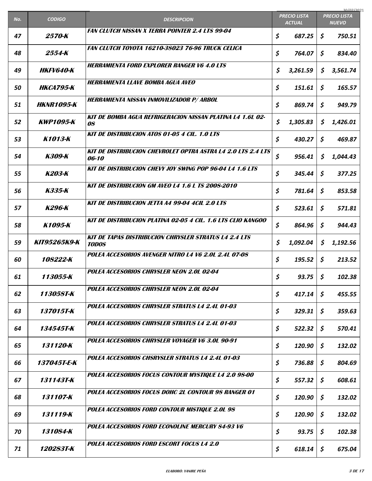| No. | <b>CODIGO</b>           | <b>DESCRIPCION</b>                                                           |    | <b>PRECIO LISTA</b><br><b>ACTUAL</b> | 30/07/2021<br><b>PRECIO LISTA</b><br><b>NUEVO</b> |          |
|-----|-------------------------|------------------------------------------------------------------------------|----|--------------------------------------|---------------------------------------------------|----------|
| 47  | 2570-K                  | <b>FAN CLUTCH NISSAN X TERRA POINTER 2.4 LTS 99-04</b>                       | \$ | 687.25                               | \$                                                | 750.51   |
| 48  | 2554-K                  | <b>FAN CLUTCH TOYOTA 16210-38023 76-96 TRUCK CELICA</b>                      | \$ | 764.07                               | \$                                                | 834.40   |
| 49  | <i><b>HKFV640-K</b></i> | <b>HERRAMIENTA FORD EXPLORER RANGER V6 4.0 LTS</b>                           | \$ | 3,261.59                             | \$                                                | 3,561.74 |
| 50  | <b>НКСА795-К</b>        | <b>HERRAMIENTA LLAVE BOMBA AGUA AVEO</b>                                     | \$ | 151.61                               | \$                                                | 165.57   |
| 51  | <b>HKNR1095-K</b>       | <b>HERRAMIENTA NISSAN INMOVILIZADOR P/ ARBOL</b>                             | \$ | 869.74                               | \$                                                | 949.79   |
| 52  | <b>KWP1095-K</b>        | <b>KIT DE BOMBA AGUA REFRIGERACION NISSAN PLATINA L4 1.6L 02-</b><br>08      | \$ | 1,305.83                             | \$                                                | 1,426.01 |
| 53  | K1013-K                 | <b>KIT DE DISTRIBUCION ATOS 01-05 4 CIL. 1.0 LTS</b>                         | \$ | 430.27                               | \$                                                | 469.87   |
| 54  | K309-K                  | <b>KIT DE DISTRIBUCION CHEVROLET OPTRA ASTRA L4 2.0 LTS 2.4 LTS</b><br>06-10 | \$ | 956.41                               | \$                                                | 1,044.43 |
| 55  | <b>K203-K</b>           | <b>KIT DE DISTRIBUCION CHEVY JOY SWING POP 96-04 L4 1.6 LTS</b>              | \$ | 345.44                               | \$                                                | 377.25   |
| 56  | K335-K                  | <b>KIT DE DISTRIBUCION GM AVEO L4 1.6 L TS 2008-2010</b>                     | \$ | 781.64                               | \$                                                | 853.58   |
| 57  | K296-K                  | KIT DE DISTRIBUCION JETTA A4 99-04 4CIL 2.0 LTS                              | \$ | 523.61                               | \$.                                               | 571.81   |
| 58  | K1095-K                 | <b>KIT DE DISTRIBUCION PLATINA 02-05 4 CIL. 1.6 LTS CLIO KANGOO</b>          | \$ | 864.96                               | \$                                                | 944.43   |
| 59  | <b>КІТ95265К9-К</b>     | <b>KIT DE TAPAS DISTRIBUCION CHRYSLER STRATUS L4 2.4 LTS</b><br><b>TODOS</b> | \$ | 1,092.04                             | \$                                                | 1,192.56 |
| 60  | 108222-K                | POLEA ACCESORIOS AVENGER NITRO L4 V6 2.0L 2.4L 07-08                         | \$ | 195.52                               | \$                                                | 213.52   |
| 61  | 113055-K                | POLEA ACCESORIOS CHRYSLER NEON 2.0L 02-04                                    | Ŝ  | $93.75$ \$                           |                                                   | 102.38   |
| 62  | 113058T-K               | POLEA ACCESORIOS CHRYSLER NEON 2.0L 02-04                                    | \$ | 417.14                               | \$                                                | 455.55   |
| 63  | 137015T-K               | POLEA ACCESORIOS CHRYSLER STRATUS L4 2.4L 01-03                              | \$ | 329.31                               | \$                                                | 359.63   |
| 64  | 134545T-K               | POLEA ACCESORIOS CHRYSLER STRATUS L4 2.4L 01-03                              | \$ | 522.32                               | \$                                                | 570.41   |
| 65  | 131120-K                | POLEA ACCESORIOS CHRYSLER VOYAGER V6 3.0L 90-91                              | \$ | 120.90                               | \$                                                | 132.02   |
| 66  | 137045T-E-K             | POLEA ACCESORIOS CHSRYSLER STRATUS L4 2.4L 01-03                             | \$ | 736.88                               | \$                                                | 804.69   |
| 67  | 131143T-K               | POLEA ACCESORIOS FOCUS CONTOUR MYSTIQUE L4 2.0 98-00                         | \$ | 557.32                               | \$                                                | 608.61   |
| 68  | 131107-K                | POLEA ACCESORIOS FOCUS DOHC 2L CONTOUR 98 RANGER 01                          | \$ | 120.90                               | \$                                                | 132.02   |
| 69  | 131119-K                | POLEA ACCESORIOS FORD CONTOUR MISTIQUE 2.0L 98                               | \$ | 120.90                               | \$                                                | 132.02   |
| 70  | 131084-K                | <b>POLEA ACCESORIOS FORD ECONOLINE MERCURY 84-93 V6</b>                      | \$ | 93.75                                | \$                                                | 102.38   |
| 71  | 120283T-K               | POLEA ACCESORIOS FORD ESCORT FOCUS L4 2.0                                    | \$ | 618.14                               | \$                                                | 675.04   |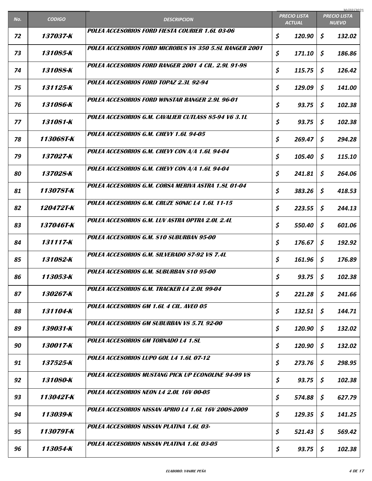|     |                         |                                                        |                                      | 30/07/2021                          |
|-----|-------------------------|--------------------------------------------------------|--------------------------------------|-------------------------------------|
| No. | <b>CODIGO</b>           | <b>DESCRIPCION</b>                                     | <b>PRECIO LISTA</b><br><b>ACTUAL</b> | <b>PRECIO LISTA</b><br><b>NUEVO</b> |
| 72  | 137037-K                | POLEA ACCESORIOS FORD FIESTA COURIER 1.6L 03-06        | \$<br>120.90                         | \$<br>132.02                        |
| 73  | 131085-K                | POLEA ACCESORIOS FORD MICROBUS V8 350 5.8L RANGER 2001 | \$<br>171.10                         | \$<br>186.86                        |
| 74  | 131088-K                | POLEA ACCESORIOS FORD RANGER 2001 4 CIL. 2.9L 91-98    | \$<br>115.75                         | \$<br>126.42                        |
| 75  | 131125-K                | POLEA ACCESORIOS FORD TOPAZ 2.3L 92-94                 | \$<br>129.09                         | \$<br>141.00                        |
| 76  | 131086-K                | POLEA ACCESORIOS FORD WINSTAR RANGER 2.9L 96-01        | \$<br>93.75                          | \$<br>102.38                        |
| 77  | 131081-K                | POLEA ACCESORIOS G.M. CAVALIER CUTLASS 85-94 V6 3.1L   | \$<br>93.75                          | \$<br>102.38                        |
| 78  | 113068T-K               | POLEA ACCESORIOS G.M. CHEVY 1.6L 94-05                 | \$<br>269.47                         | \$<br>294.28                        |
| 79  | 137027-K                | POLEA ACCESORIOS G.M. CHEVY CON A/A 1.6L 94-04         | \$<br>105.40                         | \$<br>115.10                        |
| 80  | 137028-K                | POLEA ACCESORIOS G.M. CHEVY CON A/A 1.6L 94-04         | \$<br>241.81                         | \$<br>264.06                        |
| 81  | 113078T-K               | POLEA ACCESORIOS G.M. CORSA MERIVA ASTRA 1.8L 01-04    | \$<br>383.26                         | \$<br>418.53                        |
| 82  | <i><b>120472T-K</b></i> | POLEA ACCESORIOS G.M. CRUZE SONIC L4 1.6L 11-15        | \$<br>223.55                         | \$<br>244.13                        |
| 83  | 137046T-K               | POLEA ACCESORIOS G.M. LUV ASTRA OPTRA 2.0L 2.4L        | \$<br>550.40                         | \$<br>601.06                        |
| 84  | 131117-K                | POLEA ACCESORIOS G.M. S10 SUBURBAN 95-00               | \$<br>176.67                         | \$<br>192.92                        |
| 85  | 131082-K                | POLEA ACCESORIOS G.M. SILVERADO 87-92 V8 7.4L          | \$<br>161.96                         | \$<br>176.89                        |
| 86  | 113053-K                | POLEA ACCESORIOS G.M. SUBURBAN S10 95-00               | \$<br>93.75                          | \$<br>102.38                        |
| 87  | 130267-K                | POLEA ACCESORIOS G.M. TRACKER L4 2.0L 99-04            | \$<br>221.28                         | \$<br>241.66                        |
| 88  | 131104-K                | POLEA ACCESORIOS GM 1.6L 4 CIL. AVEO 05                | \$<br>132.51                         | \$<br>144.71                        |
| 89  | 139031-K                | POLEA ACCESORIOS GM SUBURBAN V8 5.7L 92-00             | \$<br>120.90                         | \$<br>132.02                        |
| 90  | 130017-K                | POLEA ACCESORIOS GM TORNADO L4 1.8L                    | \$<br>120.90                         | \$<br>132.02                        |
| 91  | 137525-K                | POLEA ACCESORIOS LUPO GOL L4 1.6L 07-12                | \$<br>273.76                         | \$<br>298.95                        |
| 92  | 131080-K                | POLEA ACCESORIOS MUSTANG PICK UP ECONOLINE 94-99 V8    | \$<br>93.75                          | \$<br>102.38                        |
| 93  | 113042T-K               | POLEA ACCESORIOS NEON L4 2.0L 16V 00-05                | \$<br>574.88                         | \$<br>627.79                        |
| 94  | 113039-K                | POLEA ACCESORIOS NISSAN APRIO L4 1.6L 16V 2008-2009    | \$<br>129.35                         | \$<br>141.25                        |
| 95  | 113079T-K               | POLEA ACCESORIOS NISSAN PLATINA 1.6L 03-               | \$<br>521.43                         | \$<br>569.42                        |
| 96  | 113054-K                | POLEA ACCESORIOS NISSAN PLATINA 1.6L 03-05             | \$<br>93.75                          | \$<br>102.38                        |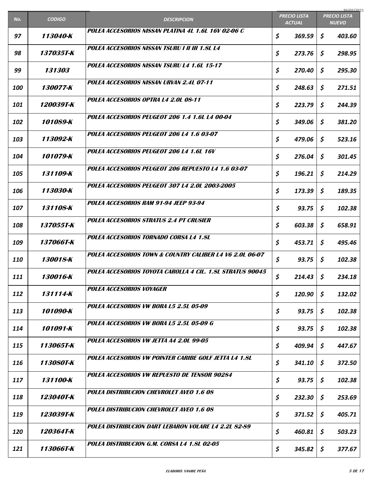|            |                         |                                                           |                                      | 30/07/2021                          |
|------------|-------------------------|-----------------------------------------------------------|--------------------------------------|-------------------------------------|
| No.        | <b>CODIGO</b>           | <b>DESCRIPCION</b>                                        | <b>PRECIO LISTA</b><br><b>ACTUAL</b> | <b>PRECIO LISTA</b><br><b>NUEVO</b> |
| 97         | 113040-K                | POLEA ACCESORIOS NISSAN PLATINA 4L 1.6L 16V 02-06 C       | \$<br>369.59                         | \$<br>403.60                        |
| 98         | <i><b>137035T-K</b></i> | POLEA ACCESORIOS NISSAN TSURU I II III 1.8L L4            | \$<br>273.76                         | \$<br>298.95                        |
| 99         | <i><b>131303</b></i>    | POLEA ACCESORIOS NISSAN TSURU L4 1.6L 15-17               | \$<br>270.40                         | \$<br>295.30                        |
| 100        | 130077-K                | POLEA ACCESORIOS NISSAN URVAN 2.4L 07-11                  | \$<br>248.63                         | \$<br>271.51                        |
| 101        | <i>120039T-K</i>        | POLEA ACCESORIOS OPTRA L4 2.0L 08-11                      | \$<br>223.79                         | \$<br>244.39                        |
| 102        | 101089-K                | POLEA ACCESORIOS PEUGEOT 206 1.4 1.6L L4 00-04            | \$<br>349.06                         | \$<br>381.20                        |
| 103        | 113092-K                | POLEA ACCESORIOS PEUGEOT 206 L4 1.6 03-07                 | \$<br>479.06                         | \$<br>523.16                        |
| 104        | 101079-K                | POLEA ACCESORIOS PEUGEOT 206 L4 1.6L 16V                  | \$<br>276.04                         | \$<br>301.45                        |
| 105        | 131109-K                | POLEA ACCESORIOS PEUGEOT 206 REPUESTO L4 1.6 03-07        | \$<br>196.21                         | \$<br>214.29                        |
| 106        | 113030-K                | POLEA ACCESORIOS PEUGEOT 307 L4 2.0L 2003-2005            | \$<br>173.39                         | \$<br>189.35                        |
| 107        | 131108-K                | POLEA ACCESORIOS RAM 91-94 JEEP 93-94                     | \$<br>93.75                          | \$<br>102.38                        |
| 108        | 137055T-K               | POLEA ACCESORIOS STRATUS 2.4 PT CRUSIER                   | \$<br>603.38                         | \$<br>658.91                        |
| 109        | 137066T-K               | POLEA ACCESORIOS TORNADO CORSA L4 1.8L                    | \$<br>453.71                         | \$<br>495.46                        |
| <b>110</b> | 130018-K                | POLEA ACCESORIOS TOWN & COUNTRY CALIBER L4 V6 2.0L 06-07  | \$<br>93.75                          | \$<br>102.38                        |
| 111        | 130016-K                | POLEA ACCESORIOS TOYOTA CAROLLA 4 CIL. 1.8L STRATUS 90045 | \$<br>214.43                         | \$<br>234.18                        |
| 112        | 131114-K                | <b>POLEA ACCESORIOS VOYAGER</b>                           | \$<br>120.90                         | \$<br>132.02                        |
| 113        | 101090-K                | POLEA ACCESORIOS VW BORA L5 2.5L 05-09                    | \$<br>93.75                          | \$<br>102.38                        |
| 114        | 101091-K                | POLEA ACCESORIOS VW BORA L5 2.5L 05-09 G                  | \$<br>93.75                          | \$<br>102.38                        |
| 115        | 113065T-K               | POLEA ACCESORIOS VW JETTA A4 2.0L 99-05                   | \$<br>409.94                         | \$<br>447.67                        |
| 116        | 113080T-K               | POLEA ACCESORIOS VW POINTER CARIBE GOLF JETTA L4 1.8L     | \$<br>341.10                         | \$<br>372.50                        |
| 117        | 131100-K                | POLEA ACCESORIOS VW REPUESTO DE TENSOR 90284              | \$<br>93.75                          | \$<br>102.38                        |
| 118        | 123040T-K               | <b>POLEA DISTRIBUCION CHEVROLET AVEO 1.6 08</b>           | \$<br>232.30                         | \$<br>253.69                        |
| 119        | 123039T-K               | <b>POLEA DISTRIBUCION CHEVROLET AVEO 1.6 08</b>           | \$<br>371.52                         | \$<br>405.71                        |
| 120        | 120364T-K               | POLEA DISTRIBUCION DART LEBARON VOLARE L4 2.2L 82-89      | \$<br>460.81                         | \$<br>503.23                        |
| 121        | 113066T-K               | POLEA DISTRIBUCION G.M. CORSA L4 1.8L 02-05               | \$<br>345.82                         | \$<br>377.67                        |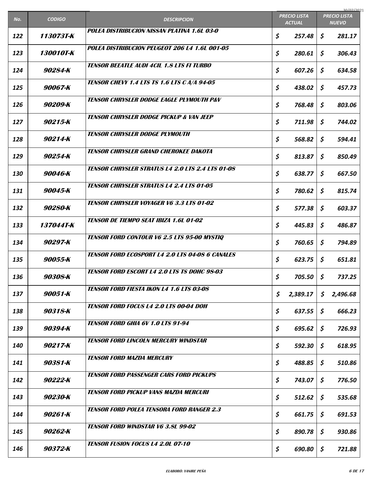| No. | <b>CODIGO</b> | <b>DESCRIPCION</b>                                      | <b>PRECIO LISTA</b><br><b>ACTUAL</b> | 30/07/2021<br><b>PRECIO LISTA</b><br><b>NUEVO</b> |          |
|-----|---------------|---------------------------------------------------------|--------------------------------------|---------------------------------------------------|----------|
| 122 | 113073T-K     | POLEA DISTRIBUCION NISSAN PLATINA 1.6L 03-0             | \$<br>257.48                         | \$                                                | 281.17   |
| 123 | 130010T-K     | POLEA DISTRIBUCION PEUGEOT 206 L4 1.6L 001-05           | \$<br>280.61                         | \$                                                | 306.43   |
| 124 | 90284-K       | <b>TENSOR BEEATLE AUDI 4CIL 1.8 LTS FI TURBO</b>        | \$<br>607.26                         | \$                                                | 634.58   |
| 125 | 90067-K       | <b>TENSOR CHEVY 1.4 LTS TS 1.6 LTS C A/A 94-05</b>      | \$<br>438.02                         | \$                                                | 457.73   |
| 126 | 90209-K       | <b>TENSOR CHRYSLER DODGE EAGLE PLYMOUTH P&amp;V</b>     | \$<br>768.48                         | \$                                                | 803.06   |
| 127 | 90215-K       | <b>TENSOR CHRYSLER DODGE PICKUP &amp; VAN JEEP</b>      | \$<br>711.98                         | \$                                                | 744.02   |
| 128 | 90214-K       | <b>TENSOR CHRYSLER DODGE PLYMOUTH</b>                   | \$<br>568.82                         | \$                                                | 594.41   |
| 129 | 90254-K       | TENSOR CHRYSI ER GRAND CHEROKEE DAKOTA                  | \$<br>813.87                         | \$                                                | 850.49   |
| 130 | 90046-K       | <b>TENSOR CHRYSLER STRATUS L4 2.0 LTS 2.4 LTS 01-08</b> | \$<br>638.77                         | \$                                                | 667.50   |
| 131 | 90045-K       | <b>TENSOR CHRYSLER STRATUS L4 2.4 LTS 01-05</b>         | \$<br>780.62                         | \$                                                | 815.74   |
| 132 | 90280-K       | <b>TENSOR CHRYSLER VOYAGER V6 3.3 LTS 01-02</b>         | \$<br>577.38                         | \$                                                | 603.37   |
| 133 | 137044T-K     | <b>TENSOR DE TIEMPO SEAT IBIZA 1.6L 01-02</b>           | \$<br>445.83                         | \$                                                | 486.87   |
| 134 | 90297-K       | <b>TENSOR FORD CONTOUR V6 2.5 LTS 95-00 MYSTIQ</b>      | \$<br>760.65                         | \$                                                | 794.89   |
| 135 | 90055-K       | <b>TENSOR FORD ECOSPORT L4 2.0 LTS 04-08 6 CANALES</b>  | \$<br>623.75                         | \$                                                | 651.81   |
| 136 | 90308-K       | <b>TENSOR FORD ESCORT L4 2.0 LTS TS DOHC 98-03</b>      | \$<br>705.50 \$                      |                                                   | 737.25   |
| 137 | 90051-K       | <b>TENSOR FORD FIESTA IKON L4 1.6 LTS 03-08</b>         | \$<br>2,389.17                       | \$                                                | 2,496.68 |
| 138 | 90318-K       | <b>TENSOR FORD FOCUS L4 2.0 LTS 00-04 DOH</b>           | \$<br>637.55                         | \$                                                | 666.23   |
| 139 | 90394-K       | <b>TENSOR FORD GHIA 6V 1.0 LTS 91-94</b>                | \$<br>695.62                         | \$                                                | 726.93   |
| 140 | 90217-K       | <b>TENSOR FORD LINCOLN MERCURY WINDSTAR</b>             | \$<br>592.30                         | \$                                                | 618.95   |
| 141 | 90381-K       | <b>TENSOR FORD MAZDA MERCURY</b>                        | \$<br>488.85                         | \$                                                | 510.86   |
| 142 | 90222-K       | <b>TENSOR FORD PASSENGER CARS FORD PICKUPS</b>          | \$<br>743.07                         | \$                                                | 776.50   |
| 143 | 90230-K       | <b>TENSOR FORD PICKUP VANS MAZDA MERCURI</b>            | \$<br>512.62                         | \$                                                | 535.68   |
| 144 | 90261-K       | <b>TENSOR FORD POLEA TENSORA FORD RANGER 2.3</b>        | \$<br>661.75                         | \$                                                | 691.53   |
| 145 | 90262-K       | <b>TENSOR FORD WINDSTAR V6 3.8L 99-02</b>               | \$<br>890.78                         | \$                                                | 930.86   |
| 146 | 90372-K       | <b>TENSOR FUSION FOCUS L4 2.0L 07-10</b>                | \$<br>690.80                         | \$                                                | 721.88   |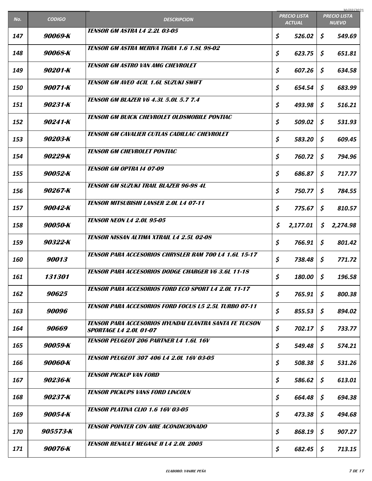| No.        | <b>CODIGO</b> | <b>DESCRIPCION</b>                                                                      | <b>PRECIO LISTA</b> |    | 30/07/2021<br><b>PRECIO LISTA</b> |
|------------|---------------|-----------------------------------------------------------------------------------------|---------------------|----|-----------------------------------|
|            |               | <b>TENSOR GM ASTRA L4 2.2L 03-05</b>                                                    | <b>ACTUAL</b>       |    | <b>NUEVO</b>                      |
| 147        | 90069-K       |                                                                                         | \$<br>526.02        | \$ | 549.69                            |
| 148        | 90068-K       | <b>TENSOR GM ASTRA MERIVA TIGRA 1.6 1.8L 98-02</b>                                      | \$<br>623.75        | \$ | 651.81                            |
| 149        | 90201-K       | <b>TENSOR GM ASTRO VAN AMG CHEVROLET</b>                                                | \$<br>607.26        | \$ | 634.58                            |
| <b>150</b> | 90071-K       | <b>TENSOR GM AVEO 4CIL 1.6L SUZUKI SWIFT</b>                                            | \$<br>654.54        | \$ | 683.99                            |
| 151        | 90231-K       | <b>TENSOR GM BLAZER V6 4.3L 5.0L 5.7 7.4</b>                                            | \$<br>493.98        | \$ | 516.21                            |
| 152        | 90241-K       | <b>TENSOR GM BUICK CHEVROLET OLDSMOBILE PONTIAC</b>                                     | \$<br>509.02        | \$ | 531.93                            |
| 153        | 90203-K       | <b>TENSOR GM CAVALIER CUTLAS CADILLAC CHEVROLET</b>                                     | \$<br>583.20        | \$ | 609.45                            |
| 154        | 90229-K       | <b>TENSOR GM CHEVROLET PONTIAC</b>                                                      | \$<br>760.72        | \$ | 794.96                            |
| 155        | 90052-K       | <b>TENSOR GM OPTRA 14 07-09</b>                                                         | \$<br>686.87        | \$ | 717.77                            |
| 156        | 90267-K       | <b>TENSOR GM SUZUKI TRAIL BLAZER 96-98 4L</b>                                           | \$<br>750.77        | \$ | 784.55                            |
| 157        | 90042-K       | <b>TENSOR MITSUBISHI LANSER 2.0L L4 07-11</b>                                           | \$<br>775.67        | \$ | 810.57                            |
| 158        | 90050-K       | <b>TENSOR NEON L4 2.0L 95-05</b>                                                        | \$<br>2,177.01      | \$ | 2,274.98                          |
| 159        | 90322-K       | <b>TENSOR NISSAN ALTIMA XTRAIL L4 2.5L 02-08</b>                                        | \$<br>766.91        | \$ | 801.42                            |
| 160        | 90013         | <b>TENSOR PARA ACCESORIOS CHRYSI ER RAM 700 14 1.61 15-17</b>                           | \$<br>738.48        | \$ | 771.72                            |
| 161        | 131301        | <b>TENSOR PARA ACCESORIOS DODGE CHARGER V6 3.6L 11-18</b>                               | \$<br>$180.00$ \$   |    | 196.58                            |
| 162        | 90625         | <b>TENSOR PARA ACCESORIOS FORD ECO SPORT L4 2.0L 11-17</b>                              | \$<br>765.91        | \$ | 800.38                            |
| 163        | <i>90096</i>  | <b>TENSOR PARA ACCESORIOS FORD FOCUS L5 2.5L TURBO 07-11</b>                            | \$<br>855.53        | \$ | 894.02                            |
| 164        | <i>90669</i>  | TENSOR PARA ACCESORIOS HYUNDAI ELANTRA SANTA FE TUCSON<br><b>SPORTAGE L4 2.0L 01-07</b> | \$<br>702.17        | \$ | 733.77                            |
| 165        | 90059-K       | <b>TENSOR PEUGEOT 206 PARTNER L4 1.6L 16V</b>                                           | \$<br>549.48        | \$ | 574.21                            |
| 166        | 90060-K       | <b>TENSOR PEUGEOT 307 406 L4 2.0L 16V 03-05</b>                                         | \$<br>508.38        | \$ | 531.26                            |
| 167        | 90236-K       | <b>TENSOR PICKUP VAN FORD</b>                                                           | \$<br>586.62        | \$ | 613.01                            |
| 168        | 90237-K       | <b>TENSOR PICKUPS VANS FORD LINCOLN</b>                                                 | \$<br>664.48        | \$ | 694.38                            |
| 169        | 90054-K       | <b>TENSOR PLATINA CLIO 1.6 16V 03-05</b>                                                | \$<br>473.38        | \$ | 494.68                            |
| 170        | 905573-K      | <b>TENSOR POINTER CON AIRE ACONDICIONADO</b>                                            | \$<br>868.19        | \$ | 907.27                            |
| 171        | 90076-K       | <b>TENSOR RENAULT MEGANE II L4 2.0L 2005</b>                                            | \$<br>682.45        | \$ | 713.15                            |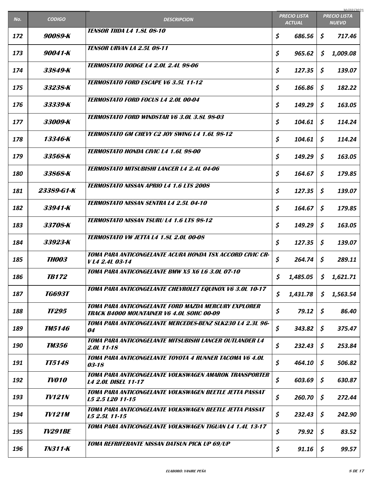| No. | <b>CODIGO</b>         | <b>DESCRIPCION</b>                                                                                       | <b>PRECIO LISTA</b> |               | 30/07/2021<br><b>PRECIO LISTA</b> |
|-----|-----------------------|----------------------------------------------------------------------------------------------------------|---------------------|---------------|-----------------------------------|
|     |                       | <b>TENSOR TIIDA L4 1.8L 08-10</b>                                                                        |                     | <b>ACTUAL</b> | <b>NUEVO</b>                      |
| 172 | 90089-K               |                                                                                                          | \$                  | 686.56        | \$<br>717.46                      |
| 173 | 90041-K               | <b>TENSOR URVAN LA 2.5L 08-11</b>                                                                        | \$                  | 965.62        | \$<br>1,009.08                    |
| 174 | 33849-K               | <i><b>TERMOSTATO DODGE L4 2.0L 2.4L 98-06</b></i>                                                        | \$                  | 127.35        | \$<br>139.07                      |
| 175 | 33238-K               | <b>TERMOSTATO FORD ESCAPE V6 3.5L 11-12</b>                                                              | \$                  | 166.86        | \$<br>182.22                      |
| 176 | 33339-K               | <b>TERMOSTATO FORD FOCUS L4 2.0L 00-04</b>                                                               | \$                  | 149.29        | \$<br>163.05                      |
| 177 | 33009-K               | <b>TERMOSTATO FORD WINDSTAR V6 3.0L 3.8L 98-03</b>                                                       | \$                  | 104.61        | \$<br>114.24                      |
| 178 | 13346-K               | <b>TERMOSTATO GM CHEVY C2 JOY SWING L4 1.6L 98-12</b>                                                    | \$                  | 104.61        | \$<br>114.24                      |
| 179 | 33568-K               | <b>TERMOSTATO HONDA CIVIC L4 1.6L 98-00</b>                                                              | \$                  | 149.29        | \$<br>163.05                      |
| 180 | 33868-K               | <b>TERMOSTATO MITSUBISHI LANCER L4 2.4L 04-06</b>                                                        | \$                  | 164.67        | \$<br>179.85                      |
| 181 | 23389-G1-K            | <b>TERMOSTATO NISSAN APRIO L4 1.6 LTS 2008</b>                                                           | \$                  | 127.35        | \$<br>139.07                      |
| 182 | 33941-K               | TERMOSTATO NISSAN SENTRA L4 2.5L 04-10                                                                   | \$                  | 164.67        | \$<br>179.85                      |
| 183 | 33708-K               | <b>TERMOSTATO NISSAN TSURU L4 1.6 LTS 98-12</b>                                                          | \$                  | 149.29        | \$<br>163.05                      |
| 184 | 33923-K               | <b>TERMOSTATO VW JETTA L4 1.8L 2.0L 00-08</b>                                                            | \$                  | 127.35        | \$<br>139.07                      |
| 185 | <i><b>THOO3</b></i>   | TOMA PARA ANTICONGELANTE ACURA HONDA TSX ACCORD CIVIC CR-<br>VL4 2.4L 03-14                              | \$                  | 264.74        | \$<br>289.11                      |
| 186 | <b>TB172</b>          | <b>TOMA PARA ANTICONGELANTE BMW X5 X6 L6 3.0L 07-10</b>                                                  | \$                  | 1,485.05      | \$<br>1,621.71                    |
| 187 | <b>TG693T</b>         | TOMA PARA ANTICONGELANTE CHEVROLET EQUINOX V6 3.0L 10-17                                                 | \$                  | 1,431.78      | \$<br>1,563.54                    |
| 188 | <b>TF295</b>          | TOMA PARA ANTICONGELANTE FORD MAZDA MERCURY EXPLORER<br><b>TRACK B4000 MOUNTAINER V6 4.0L SOHC 00-09</b> | \$                  | 79.12         | \$<br>86.40                       |
| 189 | <i><b>TM5146</b></i>  | TOMA PARA ANTICONGELANTE MERCEDES-BENZ SLK230 L4 2.3L 96-<br>04                                          | \$                  | 343.82        | \$<br>375.47                      |
| 190 | <b>TM356</b>          | <b>TOMA PARA ANTICONGELANTE MITSUBISHI LANCER OUTLANDER L4</b><br>2.0L 11-18                             | \$                  | 232.43        | \$<br>253.84                      |
| 191 | <b>IT5148</b>         | TOMA PARA ANTICONGELANTE TOYOTA 4 RUNNER TACOMA V6 4.0L<br>03-18                                         | \$                  | 464.10        | \$<br>506.82                      |
| 192 | <b>TV010</b>          | TOMA PARA ANTICONGELANTE VOLKSWAGEN AMAROK TRANSPORTER<br><b>L4 2.0L DISEL 11-17</b>                     | \$                  | 603.69        | \$<br>630.87                      |
| 193 | <b>TV121N</b>         | TOMA PARA ANTICONGELANTE VOLKSWAGEN BEETLE JETTA PASSAT<br>L5 2.5 L20 11-15                              | \$                  | 260.70        | \$<br>272.44                      |
| 194 | <b>TV121M</b>         | TOMA PARA ANTICONGELANTE VOLKSWAGEN BEETLE JETTA PASSAT<br>L5 2.5L 11-15                                 | \$                  | 232.43        | \$<br>242.90                      |
| 195 | <i><b>TV291BE</b></i> | TOMA PARA ANTICONGELANTE VOLKSWAGEN TIGUAN L4 1.4L 13-17                                                 | \$                  | 79.92         | \$<br>83.52                       |
| 196 | <b>TN311-K</b>        | TOMA REFRIFERANTE NISSAN DATSUN PICK UP 69/UP                                                            | \$                  | 91.16         | \$<br>99.57                       |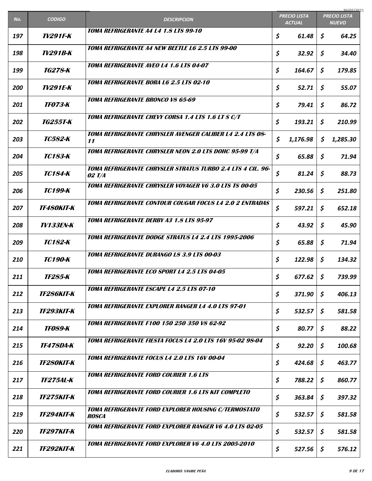|     |                          |                                                                             |                                      | 30/07/2021                          |
|-----|--------------------------|-----------------------------------------------------------------------------|--------------------------------------|-------------------------------------|
| No. | <b>CODIGO</b>            | <b>DESCRIPCION</b>                                                          | <b>PRECIO LISTA</b><br><b>ACTUAL</b> | <b>PRECIO LISTA</b><br><b>NUEVO</b> |
| 197 | <b>TV291F-K</b>          | <b>TOMA REFRIGERANTE A4 L4 1.8 LTS 99-10</b>                                | \$<br>61.48                          | \$<br>64.25                         |
| 198 | TV291B-K                 | <b>TOMA REFRIGERANTE A4 NEW BEETLE L6 2.5 LTS 99-00</b>                     | \$<br>32.92                          | \$<br>34.40                         |
| 199 | TG278-K                  | <b>TOMA REFRIGERANTE AVEO L4 1.6 LTS 04-07</b>                              | \$<br>164.67                         | \$<br>179.85                        |
| 200 | <b>TV291E-K</b>          | <b>TOMA REFRIGERANTE BORA L6 2.5 LTS 02-10</b>                              | \$<br>52.71                          | \$<br>55.07                         |
| 201 | <i><b>TF073-K</b></i>    | <b>TOMA REFRIGERANTE BRONCO V8 65-69</b>                                    | \$<br>79.41                          | \$<br>86.72                         |
| 202 | TG255T-K                 | TOMA REFRIGERANTE CHEVY CORSA 1.4 LTS 1.6 LT S C/T                          | \$<br>193.21                         | \$<br>210.99                        |
| 203 | <b>TC582-K</b>           | TOMA REFRIGERANTE CHRYSLER AVENGER CALIBER L4 2.4 LTS 08-<br>11             | \$<br>1,176.98                       | \$<br>1,285.30                      |
| 204 | TC183-K                  | TOMA REFRIGERANTE CHRYSLER NEON 2.0 LTS DOHC 95-99 T/A                      | \$<br>65.88                          | \$<br>71.94                         |
| 205 | <b>TC184-K</b>           | TOMA REFRIGERANTE CHRYSLER STRATUS TURBO 2.4 LTS 4 CIL. 96-<br>02 T/A       | \$<br>81.24                          | \$<br>88.73                         |
| 206 | <b>ТС199-К</b>           | <b>TOMA REFRIGERANTE CHRYSLER VOYAGER V6 3.0 LTS TS 00-05</b>               | \$<br>230.56                         | \$<br>251.80                        |
| 207 | <b>TF480KIT-K</b>        | <b>TOMA REFRIGERANTE CONTOUR COUGAR FOCUS L4 2.0 2 ENTRADAS</b>             | \$<br>597.21                         | \$<br>652.18                        |
| 208 | <b>TV133EN-K</b>         | TOMA REFRIGERANTE DERBY A3 1.8 LTS 95-97                                    | \$<br>43.92                          | \$<br>45.90                         |
| 209 | <b>TC182-K</b>           | <b>TOMA REFRIGERANTE DODGE STRATUS L4 2.4 LTS 1995-2006</b>                 | \$<br>65.88                          | \$<br>71.94                         |
| 210 | <b>ТС190-К</b>           | <b>TOMA REFRIGERANTE DURANGO LS 3.9 LTS 00-03</b>                           | \$<br>122.98                         | \$<br>134.32                        |
| 211 | <b>TF285-K</b>           | <b>TOMA REFRIGERANTE ECO SPORT L4 2.5 LTS 04-05</b>                         | \$<br>$677.62$ \$                    | 739.99                              |
| 212 | <i><b>TF286KIT-K</b></i> | <b>TOMA REFRIGERANTE ESCAPE L4 2.5 LTS 07-10</b>                            | \$<br>371.90                         | \$<br>406.13                        |
| 213 | <b>TF293KIT-K</b>        | TOMA REFRIGERANTE EXPLORER RANGER L4 4.0 LTS 97-01                          | \$<br>532.57                         | \$<br>581.58                        |
| 214 | <b>TF089-K</b>           | <b>TOMA REFRIGERANTE F100 150 250 350 V8 62-92</b>                          | \$<br>80.77                          | \$<br>88.22                         |
| 215 | <b>TF478DA-K</b>         | TOMA REFRIGERANTE FIESTA FOCUS L4 2.0 LTS 16V 95-02 98-04                   | \$<br>92.20                          | \$<br>100.68                        |
| 216 | <b>TF280KIT-K</b>        | TOMA REFRIGERANTE FOCUS L4 2.0 LTS 16V 00-04                                | \$<br>424.68                         | \$<br>463.77                        |
| 217 | <b>TF275AL-K</b>         | <b>TOMA REFRIGERANTE FORD COURIER 1.6 LTS</b>                               | \$<br>788.22                         | \$<br>860.77                        |
| 218 | <b>TF275KIT-K</b>        | <b>TOMA REFRIGERANTE FORD COURIER 1.6 LTS KIT COMPLETO</b>                  | \$<br>363.84                         | \$<br>397.32                        |
| 219 | <i><b>TF294KIT-K</b></i> | <b>TOMA REFRIGERANTE FORD EXPLORER HOUSING C/TERMOSTATO</b><br><b>ROSCA</b> | \$<br>532.57                         | \$<br>581.58                        |
| 220 | <i><b>TF297KIT-K</b></i> | <b>TOMA REFRIGERANTE FORD EXPLORER RANGER V6 4.0 LTS 02-05</b>              | \$<br>532.57                         | \$<br>581.58                        |
| 221 | <b>TF292KIT-K</b>        | <b>TOMA REFRIGERANTE FORD EXPLORER V6 4.0 LTS 2005-2010</b>                 | \$<br>527.56                         | \$<br>576.12                        |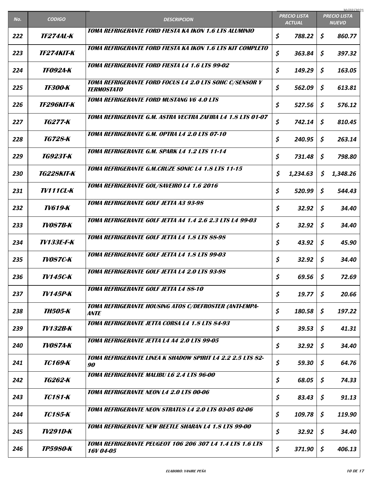|     |                          |                                                                              |                                      | 30/07/2021                          |
|-----|--------------------------|------------------------------------------------------------------------------|--------------------------------------|-------------------------------------|
| No. | <b>CODIGO</b>            | <b>DESCRIPCION</b>                                                           | <b>PRECIO LISTA</b><br><b>ACTUAL</b> | <b>PRECIO LISTA</b><br><b>NUEVO</b> |
| 222 | <i><b>TF274AL-K</b></i>  | TOMA REFRIGERANTE FORD FIESTA KA IKON 1.6 LTS ALUMINIO                       | \$<br>788.22                         | \$<br>860.77                        |
| 223 | <i><b>TF274KIT-K</b></i> | TOMA REFRIGERANTE FORD FIESTA KA IKON 1.6 LTS KIT COMPLETO                   | \$<br>363.84                         | \$<br>397.32                        |
| 224 | <b>TF0924-K</b>          | <b>TOMA REFRIGERANTE FORD FIESTA L4 1.6 LTS 99-02</b>                        | \$<br>149.29                         | \$<br>163.05                        |
| 225 | <b>TF300-K</b>           | TOMA REFRIGERANTE FORD FOCUS L4 2.0 LTS SOHC C/SENSOR Y<br><b>TERMOSTATO</b> | \$<br>562.09                         | \$<br>613.81                        |
| 226 | <i><b>TF296KIT-K</b></i> | <b>TOMA REFRIGERANTE FORD MUSTANG V6 4.0 LTS</b>                             | \$<br>527.56                         | \$<br>576.12                        |
| 227 | <i>TG277-K</i>           | TOMA REFRIGERANTE G.M. ASTRA VECTRA ZAFIRA L4 1.8 LTS 01-07                  | \$<br>742.14                         | \$<br>810.45                        |
| 228 | TG728-K                  | TOMA REFRIGERANTE G.M. OPTRA L4 2.0 LTS 07-10                                | \$<br>240.95                         | \$<br>263.14                        |
| 229 | TG923T-K                 | TOMA REFRIGERANTE G.M. SPARK L4 1.2 LTS 11-14                                | \$<br>731.48                         | \$<br>798.80                        |
| 230 | <i><b>TG228KIT-K</b></i> | <b>TOMA REFRIGERANTE G.M.CRUZE SONIC L4 1.8 LTS 11-15</b>                    | \$<br>1,234.63                       | \$<br>1,348.26                      |
| 231 | <b>TV111CL-K</b>         | TOMA REFRIGERANTE GOL/SAVEIRO L4 1.6 2016                                    | \$<br>520.99                         | \$<br>544.43                        |
| 232 | TV619-K                  | TOMA REFRIGERANTE GOLF JETTA A3 93-98                                        | \$<br>32.92                          | \$<br>34.40                         |
| 233 | <b>TV087B-K</b>          | TOMA REFRIGERANTE GOLF JETTA A4 1.4 2.6 2.3 LTS L4 99-03                     | \$<br>32.92                          | \$<br>34.40                         |
| 234 | <b>TV133E-F-K</b>        | <b>TOMA REFRIGERANTE GOLF JETTA L4 1.8 LTS 88-98</b>                         | \$<br>43.92                          | \$<br>45.90                         |
| 235 | <b>TV087C-K</b>          | TOMA REFRIGERANTE GOLF JETTA L4 1.8 LTS 99-03                                | \$<br>32.92                          | \$<br>34.40                         |
| 236 | <b>TV145C-K</b>          | <b>TOMA REFRIGERANTE GOLF JETTA L4 2.0 LTS 93-98</b>                         | \$<br>69.56                          | \$<br>72.69                         |
| 237 | TV145P-K                 | <b>TOMA REFRIGERANTE GOLF JETTA L4 88-10</b>                                 | \$<br>19.77                          | \$<br>20.66                         |
| 238 | <i><b>TH505-K</b></i>    | TOMA REFRIGERANTE HOUSING ATOS C/DEFROSTER (ANTI-EMPA-<br>ANTE               | \$<br>180.58                         | \$<br>197.22                        |
| 239 | TV132B-K                 | <b>TOMA REFRIGERANTE JETTA CORSA L4 1.8 LTS 84-93</b>                        | \$<br>39.53                          | \$<br>41.31                         |
| 240 | <b>TV087A-K</b>          | <b>TOMA REFRIGERANTE JETTA L4 A4 2.0 LTS 99-05</b>                           | \$<br>32.92                          | \$<br>34.40                         |
| 241 | <b>ТС169-К</b>           | TOMA REFRIGERANTE LINEA K SHADOW SPIRIT L4 2.2 2.5 LTS 82-<br>90             | \$<br>59.30                          | \$<br>64.76                         |
| 242 | TG262-K                  | <b>TOMA REFRIGERANTE MALIBU L6 2.4 LTS 96-00</b>                             | \$<br>68.05                          | \$<br>74.33                         |
| 243 | <b>TC181-K</b>           | <b>TOMA REFRIGERANTE NEON L4 2.0 LTS 00-06</b>                               | \$<br>83.43                          | \$<br>91.13                         |
| 244 | <b>TC185-K</b>           | <b>TOMA REFRIGERANTE NEON STRATUS L4 2.0 LTS 03-05 02-06</b>                 | \$<br>109.78                         | \$<br>119.90                        |
| 245 | TV291D-K                 | <b>TOMA REFRIGERANTE NEW BEETLE SHARAN L4 1.8 LTS 99-00</b>                  | \$<br>32.92                          | \$<br>34.40                         |
| 246 | <b>TP5980-K</b>          | TOMA REFRIGERANTE PEUGEOT 106 206 307 L4 1.4 LTS 1.6 LTS<br>16V 04-05        | \$<br>371.90                         | \$<br>406.13                        |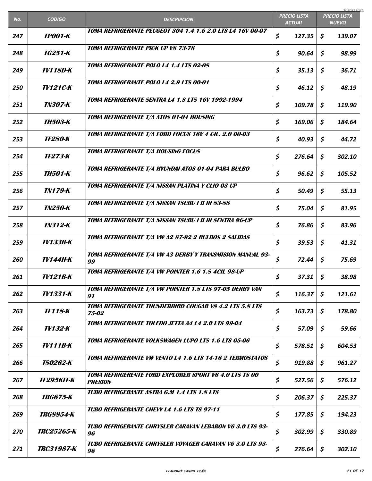| No. | <b>CODIGO</b>            | <b>DESCRIPCION</b>                                                              | <b>PRECIO LISTA</b> |        | 30/07/2021<br><b>PRECIO LISTA</b> |              |
|-----|--------------------------|---------------------------------------------------------------------------------|---------------------|--------|-----------------------------------|--------------|
|     |                          |                                                                                 | <b>ACTUAL</b>       |        |                                   | <b>NUEVO</b> |
| 247 | <b>TP001-K</b>           | TOMA REFRIGERANTE PEUGEOT 304 1.4 1.6 2.0 LTS L4 16V 00-07                      | \$                  | 127.35 | \$                                | 139.07       |
| 248 | TG251-K                  | <b>TOMA REFRIGERANTE PICK UP V8 73-78</b>                                       | \$                  | 90.64  | \$                                | 98.99        |
| 249 | <b>TV118D-K</b>          | <b>TOMA REFRIGERANTE POLO L4 1.4 LTS 02-08</b>                                  | \$                  | 35.13  | \$                                | 36.71        |
| 250 | <b>TV121C-K</b>          | <b>TOMA REFRIGERANTE POLO L4 2.9 LTS 00-01</b>                                  | \$                  | 46.12  | \$                                | 48.19        |
| 251 | <i>TN307-K</i>           | TOMA REFRIGERANTE SENTRA L4 1.8 LTS 16V 1992-1994                               | \$                  | 109.78 | \$                                | 119.90       |
| 252 | <i><b>TH503-K</b></i>    | <b>TOMA REFRIGERANTE T/A ATOS 01-04 HOUSING</b>                                 | \$                  | 169.06 | \$                                | 184.64       |
| 253 | <b>TF280-K</b>           | TOMA REFRIGERANTE T/A FORD FOCUS 16V 4 CIL. 2.0 00-03                           | \$                  | 40.93  | \$                                | 44.72        |
| 254 | <i><b>TF273-K</b></i>    | <b>TOMA REFRIGERANTE T/A HOUSING FOCUS</b>                                      | \$                  | 276.64 | \$                                | 302.10       |
| 255 | <b>TH501-K</b>           | TOMA REFRIGERANTE T/A HYUNDAI ATOS 01-04 PARA BULBO                             | \$                  | 96.62  | \$                                | 105.52       |
| 256 | <b>TN179-K</b>           | TOMA REFRIGERANTE T/A NISSAN PLATINA Y CLIO 03 UP                               | \$                  | 50.49  | \$                                | 55.13        |
| 257 | <i><b>TN250-K</b></i>    | TOMA REFRIGERANTE T/A NISSAN TSURU I II III 83-88                               | \$                  | 75.04  | \$                                | 81.95        |
| 258 | <b>TN312-K</b>           | TOMA REFRIGERANTE T/A NISSAN TSURU I II III SENTRA 96-UP                        | \$                  | 76.86  | \$                                | 83.96        |
| 259 | <b>TV133B-K</b>          | TOMA REFRIGERANTE T/A VW A2 87-92 2 BULBOS 2 SALIDAS                            | \$                  | 39.53  | \$                                | 41.31        |
| 260 | <b>TV144H-K</b>          | TOMA REFRIGERANTE T/A VW A3 DERBY Y TRANSMISION MANUAL 93-<br>99                | \$                  | 72.44  | \$                                | 75.69        |
| 261 | <b>TV121B-K</b>          | TOMA REFRIGERANTE T/A VW POINTER 1.6 1.8 4CIL 98-UP                             | \$                  | 37.31  | \$                                | 38.98        |
| 262 | <b>TV1331-K</b>          | TOMA REFRIGERANTE T/A VW POINTER 1.8 LTS 97-05 DERBY VAN<br>91                  | \$                  | 116.37 | \$                                | 121.61       |
| 263 | <b>TF118-K</b>           | TOMA REFRIGERANTE THUNDERBIRD COUGAR V8 4.2 LTS 5.8 LTS<br>75-02                | \$                  | 163.73 | \$                                | 178.80       |
| 264 | TV132-K                  | TOMA REFRIGERANTE TOLEDO JETTA A4 L4 2.0 LTS 99-04                              | \$                  | 57.09  | \$                                | 59.66        |
| 265 | TV111B-K                 | <b>TOMA REFRIGERANTE VOLKSWAGEN LUPO LTS 1.6 LTS 05-06</b>                      | \$                  | 578.51 | \$                                | 604.53       |
| 266 | <b>TS0262-K</b>          | TOMA REFRIGERANTE VW VENTO L4 1.6 LTS 14-16 2 TERMOSTATOS                       | \$                  | 919.88 | \$                                | 961.27       |
| 267 | <i><b>TF295KIT-K</b></i> | <b>TOMA REFRIGERENTE FORD EXPLORER SPORT V6 4.0 LTS TS 00</b><br><b>PRESION</b> | \$                  | 527.56 | \$                                | 576.12       |
| 268 | <b>TRG675-K</b>          | <b>TUBO REFRIGERANTE ASTRA G.M 1.4 LTS 1.8 LTS</b>                              | \$                  | 206.37 | \$                                | 225.37       |
| 269 | <i>TRG8854-K</i>         | <b>TUBO REFRIGERANTE CHEVY L4 1.6 LTS TS 97-11</b>                              | \$                  | 177.85 | \$                                | 194.23       |
| 270 | <i>TRC25265-K</i>        | TUBO REFRIGERANTE CHRYSLER CARAVAN LEBARON V6 3.0 LTS 93-<br>96                 | \$                  | 302.99 | \$                                | 330.89       |
| 271 | <b>TRC31987-K</b>        | TUBO REFRIGERANTE CHRYSLER VOYAGER CARAVAN V6 3.0 LTS 93-<br>96                 | \$                  | 276.64 | \$                                | 302.10       |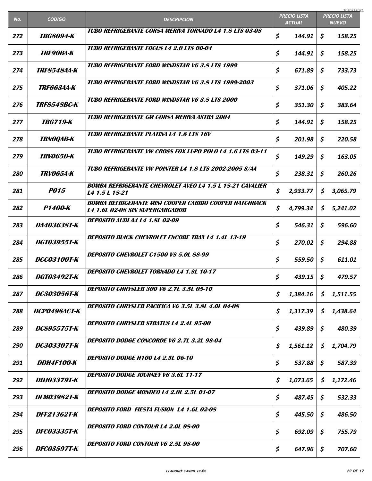|     |                           |                                                                                                         |                                      | 30/07/2021                          |
|-----|---------------------------|---------------------------------------------------------------------------------------------------------|--------------------------------------|-------------------------------------|
| No. | <b>CODIGO</b>             | <b>DESCRIPCION</b>                                                                                      | <b>PRECIO LISTA</b><br><b>ACTUAL</b> | <b>PRECIO LISTA</b><br><b>NUEVO</b> |
| 272 | <b>TRG8094-K</b>          | TUBO REFRIGERANTE CORSA MERIVA TORNADO LA 1.8 LTS 03-08                                                 | \$<br>144.91                         | \$<br>158.25                        |
| 273 | <i><b>TRF90BA-K</b></i>   | <b>TUBO REFRIGERANTE FOCUS L4 2.0 LTS 00-04</b>                                                         | \$<br>144.91                         | \$<br>158.25                        |
| 274 | <i>TRF8548AA-K</i>        | <b>TUBO REFRIGERANTE FORD WINDSTAR V6 3.8 LTS 1999</b>                                                  | \$<br>671.89                         | \$<br>733.73                        |
| 275 | <b>TRF663AA-K</b>         | <b>TUBO REFRIGERANTE FORD WINDSTAR V6 3.8 LTS 1999-2003</b>                                             | \$<br>371.06                         | \$<br>405.22                        |
| 276 | <i><b>TRF8548BC-K</b></i> | <b>TUBO REFRIGERANTE FORD WINDSTAR V6 3.8 LTS 2000</b>                                                  | \$<br>351.30                         | \$<br>383.64                        |
| 277 | <b>TRG719-K</b>           | TUBO REFRIGERANTE GM CORSA MERIVA ASTRA 2004                                                            | \$<br>144.91                         | \$<br>158.25                        |
| 278 | <b>TRNOQAB-K</b>          | <b>TUBO REFRIGERANTE PLATINA L4 1.6 LTS 16V</b>                                                         | \$<br>201.98                         | \$<br>220.58                        |
| 279 | <i>TRV065D-K</i>          | TUBO REFRIGERANTE VW CROSS FOX LUPO POLO L4 1.6 LTS 03-11                                               | \$<br>149.29                         | \$<br>163.05                        |
| 280 | <b>TRV065A-K</b>          | TUBO REFRIGERANTE VW POINTER L4 1.8 LTS 2002-2005 S/AA                                                  | \$<br>238.31                         | \$<br>260.26                        |
| 281 | <b>P015</b>               | <b>BOMBA REFRIGERANTE CHEVROLET AVEO L4 1.5 L 18-21 CAVALIER</b><br>L4 1.5 L 18-21                      | \$<br>2,933.77                       | \$<br>3,065.79                      |
| 282 | P1400-K                   | <b>BOMBA REFRIGERANTE MINI COOPER CABRIO COOPER HATCHBACK</b><br><b>L4 1.6L 02-08 SIN SUPERGARGADOR</b> | \$<br>4,799.34                       | \$<br>5,241.02                      |
| 283 | DA403638T-K               | <b>DEPOSITO AUDI A4 L4 1.8L 02-09</b>                                                                   | \$<br>546.31                         | \$<br>596.60                        |
| 284 | DGT03955T-K               | <b>DEPOSITO BUICK CHEVROLET ENCORE TRAX L4 1.4L 13-19</b>                                               | \$<br>270.02                         | \$<br>294.88                        |
| 285 | <b>DCC03100T-K</b>        | DEPOSITO CHEVROLET C1500 V8 5.0L 88-99                                                                  | \$<br>559.50                         | \$<br>611.01                        |
| 286 | DGT03492T-K               | <b>DEPOSITO CHEVROLET TORNADO L4 1.8L 10-17</b>                                                         | \$<br>439.15 $\vert$ \$              | 479.57                              |
| 287 | <i>DC303056T-K</i>        | <b>DEPOSITO CHRYSLER 300 V6 2.7L 3.5L 05-10</b>                                                         | \$<br>1,384.16                       | \$<br>1,511.55                      |
| 288 | DCP0498ACT-K              | DEPOSITO CHRYSLER PACIFICA V6 3.5L 3.8L 4.0L 04-08                                                      | \$<br>1,317.39                       | \$<br>1,438.64                      |
| 289 | <b>DCS95575T-K</b>        | <b>DEPOSITO CHRYSLER STRATUS L4 2.4L 95-00</b>                                                          | \$<br>439.89                         | \$<br>480.39                        |
| 290 | <b>DC303307T-K</b>        | DEPOSITO DODGE CONCORDE V6 2.7L 3.2L 98-04                                                              | \$<br>1,561.12                       | \$<br>1,704.79                      |
| 291 | DDH4F100-K                | <b>DEPOSITO DODGE H100 L4 2.5L 06-10</b>                                                                | \$<br>537.88                         | \$<br>587.39                        |
| 292 | <b>DDJ03379T-K</b>        | <b>DEPOSITO DODGE JOURNEY V6 3.6L 11-17</b>                                                             | \$<br>1,073.65                       | \$<br>1,172.46                      |
| 293 | <b>DFM03982T-K</b>        | <b>DEPOSITO DODGE MONDEO L4 2.0L 2.5L 01-07</b>                                                         | \$<br>487.45                         | \$<br>532.33                        |
| 294 | <b>DFF21362T-K</b>        | <b>DEPOSITO FORD FIESTA FUSION 14 1.6L 02-08</b>                                                        | \$<br>445.50                         | \$<br>486.50                        |
| 295 | <i><b>DFC03335T-K</b></i> | <b>DEPOSITO FORD CONTOUR L4 2.0L 98-00</b>                                                              | \$<br>692.09                         | \$<br>755.79                        |
| 296 | <b>DFC03597T-K</b>        | <b>DEPOSITO FORD CONTOUR V6 2.5L 98-00</b>                                                              | \$<br>647.96                         | \$<br>707.60                        |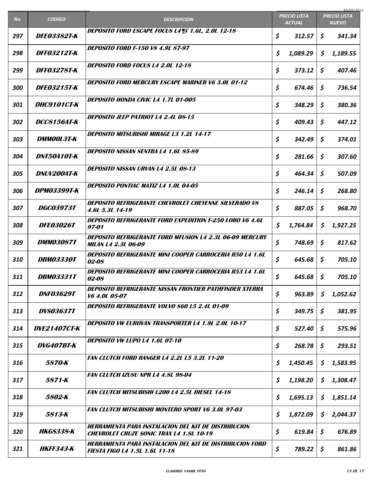|     |                         |                                                                                                                |                                      |          |                                     | 30/07/2021 |
|-----|-------------------------|----------------------------------------------------------------------------------------------------------------|--------------------------------------|----------|-------------------------------------|------------|
| No. | <b>CODIGO</b>           | <b>DESCRIPCION</b>                                                                                             | <b>PRECIO LISTA</b><br><b>ACTUAL</b> |          | <b>PRECIO LISTA</b><br><b>NUEVO</b> |            |
| 297 | <b>DFE03382T-K</b>      | DEPOSITO FORD ESCAPE FOCUS L4¶ÿ 1.6L, 2.0L 12-18                                                               | \$                                   | 312.57   | \$                                  | 341.34     |
| 298 | <i>DFF03212T-K</i>      | <b>DEPOSITO FORD F-150 V8 4.9L 87-97</b>                                                                       | \$                                   | 1,089.29 | \$                                  | 1,189.55   |
| 299 | <i>DFF03278T-K</i>      | <b>DEPOSITO FORD FOCUS L4 2.0L 12-18</b>                                                                       | \$                                   | 373.12   | \$                                  | 407.46     |
| 300 | <b>DFE03215T-K</b>      | <b>DEPOSITO FORD MERCURY ESCAPE MARINER V6 3.0L 01-12</b>                                                      | \$                                   | 674.46   | \$                                  | 736.54     |
| 301 | <b>DHC9101CT-К</b>      | <b>DEPOSITO HONDA CIVIC L4 1.7L 01-005</b>                                                                     | \$                                   | 348.29   | \$                                  | 380.36     |
| 302 | <i>DCC8156AT-K</i>      | <i><b>DEPOSITO JEEP PATRIOT L4 2.4L 08-15</b></i>                                                              | \$                                   | 409.43   | \$                                  | 447.12     |
| 303 | <b>DMMOOL3T-K</b>       | <b>DEPOSITO MITSUBISHI MIRAGE L3 1.2L 14-17</b>                                                                | \$                                   | 342.49   | \$                                  | 374.01     |
| 304 | <b>DNT50A10T-K</b>      | <b>DEPOSITO NISSAN SENTRA L4 1.6L 85-89</b>                                                                    | \$                                   | 281.66   | \$                                  | 307.60     |
| 305 | DNUV200AT-K             | <b>DEPOSITO NISSAN URVAN L4 2.5L 08-13</b>                                                                     | \$                                   | 464.34   | \$                                  | 507.09     |
| 306 | <b>DPM03399T-K</b>      | <b>DEPOSITO PONTIAC MATIZ L4 1.0L 04-05</b>                                                                    | \$                                   | 246.14   | \$                                  | 268.80     |
| 307 | <b>DGC03973T</b>        | DEPOSITO REFRIGERANTE CHEVROLET CHEYENNE SILVERADO V8<br>4.6L 5.3L 14-19                                       | \$                                   | 887.05   | \$                                  | 968.70     |
| 308 | <b>DFE03026T</b>        | <b>DEPOSITO REFRIGERANTE FORD EXPEDITION F-250 LOBO V6 4.6L</b><br>97-01                                       | \$                                   | 1,764.84 | \$                                  | 1,927.25   |
| 309 | <b>DMM03087T</b>        | <b>DEPOSITO REFRIGERANTE FORD MFUSION L4 2.3L 06-09 MERCURY</b><br><b>MILAN L4 2.3L 06-09</b>                  | \$                                   | 748.69   | \$                                  | 817.62     |
| 310 | <b>DBM03330T</b>        | <b>DEPOSITO REFRIGERANTE MINI COOPER CARROCERIA R50 L4 1.6L</b><br>02-08                                       | \$                                   | 645.68   | \$                                  | 705.10     |
| 311 | <i><b>DBM03331T</b></i> | <b>DEPOSITO REFRIGERANTE MINI COOPER CARROCERIA R53 L4 1.6L</b><br>02-08                                       | \$                                   | 645.68   | \$                                  | 705.10     |
| 312 | <b>DNF03629T</b>        | <b>DEPOSITO REFRIGERANTE NISSAN FRONTIER PATHFINDER XTERRA</b><br>V6 4.0L 05-07                                | \$                                   | 963.89   | \$                                  | 1,052.62   |
| 313 | <b>DVS03637T</b>        | DEPOSITO REFRIGERANTE VOLVO S60 L5 2.4L 01-09                                                                  | \$                                   | 349.75   | \$                                  | 381.95     |
| 314 | <b>DVE21407CT-K</b>     | <b>DEPOSITO VW EUROVAN TRANSPORTER L4 1.9L 2.0L 10-17</b>                                                      | \$                                   | 527.40   | \$                                  | 575.96     |
| 315 | DVG407BT-K              | DEPOSITO VW LUPO L4 1.6L 07-10                                                                                 | \$                                   | 268.78   | \$                                  | 293.51     |
| 316 | 5870-K                  | <b>FAN CLUTCH FORD RANGER L4 2.2L L5 3.2L 11-20</b>                                                            | \$                                   | 1,450.45 | \$                                  | 1,583.95   |
| 317 | 5871-K                  | <b>FAN CLUTCH IZUSU NPR L4 4.8L 98-04</b>                                                                      | \$                                   | 1,198.20 | \$                                  | 1,308.47   |
| 318 | 5802-K                  | <b>FAN CLUTCH MITSUBISHI L200 L4 2.5L DIESEL 14-18</b>                                                         | \$                                   | 1,695.13 | \$                                  | 1,851.14   |
| 319 | 5813-K                  | <b>FAN CLUTCH MITSUBISHI MONTERO SPORT V6 3.0L 97-03</b>                                                       | \$                                   | 1,872.09 | \$                                  | 2,044.37   |
| 320 | <b>HKGS338-K</b>        | <b>HERRAMIENTA PARA INSTALACION DEL KIT DE DISTRIBUCION</b><br><b>CHEVROLET CRUZE SONIC TRAX L4 1.8L 10-19</b> | \$                                   | 619.84   | \$                                  | 676.89     |
| 321 | <b>HKFF343-K</b>        | <b>HERRAMIENTA PARA INSTALACION DEL KIT DE DISTRIBUCION FORD</b><br><b>FIESTA FIGO L4 1.5L 1.6L 11-18</b>      | \$                                   | 789.22   | \$                                  | 861.86     |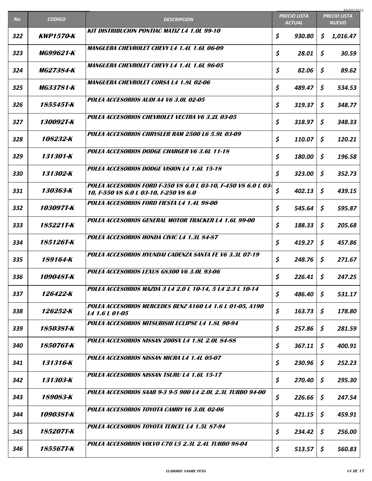|     |                  |                                                                                                          |                                      | 30/07/2021                          |  |
|-----|------------------|----------------------------------------------------------------------------------------------------------|--------------------------------------|-------------------------------------|--|
| No. | <b>CODIGO</b>    | <b>DESCRIPCION</b>                                                                                       | <b>PRECIO LISTA</b><br><b>ACTUAL</b> | <b>PRECIO LISTA</b><br><b>NUEVO</b> |  |
| 322 | <b>KWP1570-K</b> | <b>KIT DISTRIBUCION PONTIAC MATIZ L4 1.0L 99-10</b>                                                      | \$<br>930.80                         | \$<br>1,016.47                      |  |
| 323 | MG99621-K        | <b>MANGUERA CHEVROLET CHEVY L4 1.4L 1.6L 06-09</b>                                                       | \$<br>28.01                          | \$<br>30.59                         |  |
| 324 | <i>MG27384-K</i> | <b>MANGUERA CHEVROLET CHEVY L4 1.4L 1.6L 96-05</b>                                                       | \$<br>82.06                          | \$<br>89.62                         |  |
| 325 | <b>MG33781-K</b> | <i>MANGUERA CHEVROLET CORSA L4 1.8L 02-06</i>                                                            | \$<br>489.47                         | \$<br>534.53                        |  |
| 326 | 185545T-K        | POLEA ACCESORIOS AUDI A4 V6 3.0L 02-05                                                                   | \$<br>319.37                         | \$<br>348.77                        |  |
| 327 | 130092T-K        | POLEA ACCESORIOS CHEVROLET VECTRA V6 3.2L 03-05                                                          | \$<br>318.97                         | \$<br>348.33                        |  |
| 328 | 108232-K         | POLEA ACCESORIOS CHRYSLER RAM 2500 L6 5.9L 03-09                                                         | \$<br>110.07                         | \$<br>120.21                        |  |
| 329 | 131301-K         | POLEA ACCESORIOS DODGE CHARGER V6 3.6L 11-18                                                             | \$<br>180.00                         | \$<br>196.58                        |  |
| 330 | 131302-K         | POLEA ACCESORIOS DODGE VISION L4 1.6L 15-18                                                              | \$<br>323.00                         | \$<br>352.73                        |  |
| 331 | 130363-K         | POLEA ACCESORIOS FORD F-350 V8 6.0 L 03-10, F-450 V8 6.0 L 03-<br>10, F-550 V8 6.0 L 03-10, F-250 V8 6.0 | \$<br>402.13                         | \$<br>439.15                        |  |
| 332 | 103097T-K        | POLEA ACCESORIOS FORD FIESTA L4 1.4L 98-00                                                               | \$<br>545.64                         | \$<br>595.87                        |  |
| 333 | 185221T-K        | POLEA ACCESORIOS GENERAL MOTOR TRACKER L4 1.6L 99-00                                                     | \$<br>188.33                         | \$<br>205.68                        |  |
| 334 | 185126T-K        | POLEA ACCESORIOS HONDA CIVIC L4 1.3L 84-87                                                               | \$<br>419.27                         | \$<br>457.86                        |  |
| 335 | 189164-K         | POLEA ACCESORIOS HYUNDAI CADENZA SANTA FE V6 3.3L 07-19                                                  | \$<br>248.76                         | \$<br>271.67                        |  |
| 336 | 109048T-K        | POLEA ACCESORIOS LEXUS GS300 V6 3.0L 93-06                                                               | \$<br>$226.41$ \$                    | 247.25                              |  |
| 337 | 126422-K         | POLEA ACCESORIOS MAZDA 3 L4 2.0 L 10-14, 5 L4 2.3 L 10-14                                                | \$<br>486.40                         | \$<br>531.17                        |  |
| 338 | 126252-K         | POLEA ACCESORIOS MERCEDES BENZ A160 L4 1.6 L 01-05, A190<br>L4 1.6 L 01-05                               | \$<br>163.73                         | \$<br>178.80                        |  |
| 339 | 185038T-K        | POLEA ACCESORIOS MITSUBISHI ECLIPSE L4 1.8L 90-94                                                        | \$<br>257.86                         | \$<br>281.59                        |  |
| 340 | 185076T-K        | POLEA ACCESORIOS NISSAN 200SX L4 1.8L 2.0L 84-88                                                         | \$<br>367.11                         | \$<br>400.91                        |  |
| 341 | 131316-K         | POLEA ACCESORIOS NISSAN MICRA L4 1.4L 05-07                                                              | \$<br>230.96                         | \$<br>252.23                        |  |
| 342 | 131303-K         | POLEA ACCESORIOS NISSAN TSURU L4 1.6L 15-17                                                              | \$<br>270.40                         | \$<br>295.30                        |  |
| 343 | 189083-K         | POLEA ACCESORIOS SAAB 9-3 9-5 900 L4 2.0L 2.3L TURBO 94-00                                               | \$<br>226.66                         | \$<br>247.54                        |  |
| 344 | 109038T-K        | POLEA ACCESORIOS TOYOTA CAMRY V6 3.0L 02-06                                                              | \$<br>421.15                         | \$<br>459.91                        |  |
| 345 | 185207T-K        | POLEA ACCESORIOS TOYOTA TERCEL L4 1.5L 87-94                                                             | \$<br>234.42                         | \$<br>256.00                        |  |
| 346 | 185567T-K        | POLEA ACCESORIOS VOLVO C70 L5 2.3L 2.4L TURBO 98-04                                                      | \$<br>513.57                         | \$<br>560.83                        |  |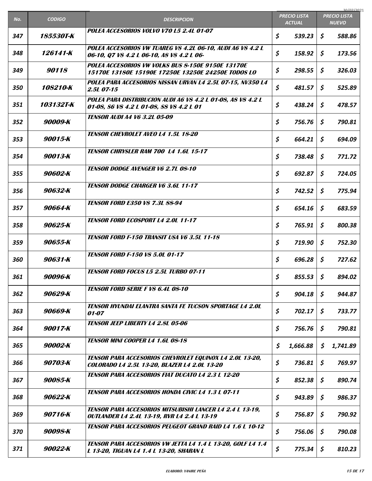|     |               |                                                                                                                       |                                      | 30/07/2021                          |
|-----|---------------|-----------------------------------------------------------------------------------------------------------------------|--------------------------------------|-------------------------------------|
| No. | <b>CODIGO</b> | <b>DESCRIPCION</b>                                                                                                    | <b>PRECIO LISTA</b><br><b>ACTUAL</b> | <b>PRECIO LISTA</b><br><b>NUEVO</b> |
| 347 | 185530T-K     | POLEA ACCESORIOS VOLVO V70 L5 2.4L 01-07                                                                              | \$<br>539.23                         | \$<br>588.86                        |
| 348 | 126141-K      | POLEA ACCESORIOS VW TUAREG V8 4.2L 06-10, AUDI A6 V8 4.2 L<br>06-10, Q7 V8 4.2 L 06-10, A8 V8 4.2 L 06-               | \$<br>158.92                         | \$<br>173.56                        |
| 349 | 90118         | POLEA ACCESORIOS VW VOLKS BUS 8-150E 9150E 13170E<br>15170E 13180E 15190E 17250E 13250E 24250E TODOS LO               | \$<br>298.55                         | \$<br>326.03                        |
| 350 | 108210-K      | POLEA PARA ACCESORIOS NISSAN URVAN L4 2.5L 07-15, NV350 L4<br>2.5L 07-15                                              | \$<br>481.57                         | \$<br>525.89                        |
| 351 | 103132T-K     | POLEA PARA DISTRIBUCION AUDI A6 V8 4.2 L 01-08, A8 V8 4.2 L<br>01-08, 86 V8 4.2 L 01-08, 88 V8 4.2 L 01               | \$<br>438.24                         | \$<br>478.57                        |
| 352 | 90009-K       | <i><b>TENSOR AUDI A4 V6 3.2L 05-09</b></i>                                                                            | \$<br>756.76                         | \$<br>790.81                        |
| 353 | 90015-K       | <b>TENSOR CHEVROLET AVEO L4 1.5L 18-20</b>                                                                            | \$<br>664.21                         | \$<br>694.09                        |
| 354 | 90013-K       | <b>TENSOR CHRYSLER RAM 700 L4 1.6L 15-17</b>                                                                          | \$<br>738.48                         | \$<br>771.72                        |
| 355 | 90602-K       | <b>TENSOR DODGE AVENGER V6 2.7L 08-10</b>                                                                             | \$<br>692.87                         | \$<br>724.05                        |
| 356 | 90632-K       | <b>TENSOR DODGE CHARGER V6 3.6L 11-17</b>                                                                             | \$<br>742.52                         | \$<br>775.94                        |
| 357 | 90664-K       | <b>TENSOR FORD E350 V8 7.3L 88-94</b>                                                                                 | \$<br>654.16                         | \$<br>683.59                        |
| 358 | 90625-K       | <b>TENSOR FORD ECOSPORT L4 2.0L 11-17</b>                                                                             | \$<br>765.91                         | \$<br>800.38                        |
| 359 | 90655-K       | <b>TENSOR FORD F-150 TRANSIT USA V6 3.5L 11-18</b>                                                                    | \$<br>719.90                         | \$<br>752.30                        |
| 360 | 90631-K       | <b>TENSOR FORD F-150 VS 5.0L 01-17</b>                                                                                | \$<br>696.28                         | \$<br>727.62                        |
| 361 | 90096-K       | <b>TENSOR FORD FOCUS L5 2.5L TURBO 07-11</b>                                                                          | \$<br>$855.53$ \$                    | 894.02                              |
| 362 | 90629-K       | <b>TENSOR FORD SERIE F VS 6.4L 08-10</b>                                                                              | \$<br>904.18                         | \$<br>944.87                        |
| 363 | 90669-K       | <b>TENSOR HYUNDAI ELANTRA SANTA FE TUCSON SPORTAGE L4 2.0L</b><br><i>01-07</i>                                        | \$<br>702.17                         | \$<br>733.77                        |
| 364 | 90017-K       | <b>TENSOR JEEP LIBERTY L4 2.8L 05-06</b>                                                                              | \$<br>756.76                         | \$<br>790.81                        |
| 365 | 90002-K       | <b>TENSOR MINI COOPER L4 1.6L 08-18</b>                                                                               | \$<br>1,666.88                       | \$<br>1,741.89                      |
| 366 | 90703-K       | <b>TENSOR PARA ACCESORIOS CHEVROLET EQUINOX L4 2.0L 13-20,</b><br>COLORADO L4 2.5L 13-20, BLAZER L4 2.0L 13-20        | \$<br>736.81                         | \$<br>769.97                        |
| 367 | 90085-K       | <b>TENSOR PARA ACCESORIOS FIAT DUCATO L4 2.3 L 12-20</b>                                                              | \$<br>852.38                         | \$<br>890.74                        |
| 368 | 90622-K       | <b>TENSOR PARA ACCESORIOS HONDA CIVIC L4 1.3 L 07-11</b>                                                              | \$<br>943.89                         | \$<br>986.37                        |
| 369 | 90716-K       | <b>TENSOR PARA ACCESORIOS MITSUBISHI LANCER L4 2.4 L 13-19,</b><br><b>OUTLANDER L4 2.4L 13-19, RVR L4 2.4 L 13-19</b> | \$<br>756.87                         | \$<br>790.92                        |
| 370 | 90098-K       | <b>TENSOR PARA ACCESORIOS PEUGEOT GRAND RAID L4 1.6 L 10-12</b>                                                       | \$<br>756.06                         | \$<br>790.08                        |
| 371 | 90022-K       | TENSOR PARA ACCESORIOS VW JETTA L4 1.4 L 13-20, GOLF L4 1.4<br>L 13-20, TIGUAN L4 1.4 L 13-20, SHARAN L               | \$<br>775.34                         | \$<br>810.23                        |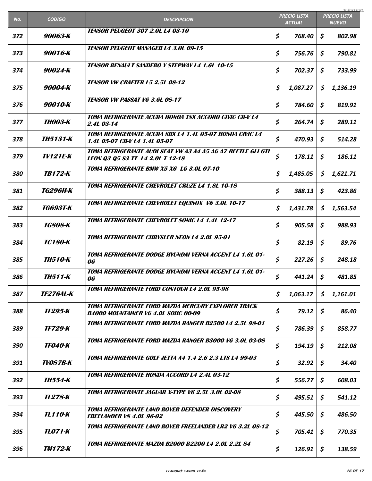|     |                         |                                                                                                   |                                      |             |                                     | 30/07/2021 |
|-----|-------------------------|---------------------------------------------------------------------------------------------------|--------------------------------------|-------------|-------------------------------------|------------|
| No. | <b>CODIGO</b>           | <b>DESCRIPCION</b>                                                                                | <b>PRECIO LISTA</b><br><b>ACTUAL</b> |             | <b>PRECIO LISTA</b><br><b>NUEVO</b> |            |
| 372 | 90063-K                 | <b>TENSOR PEUGEOT 307 2.0L L4 03-10</b>                                                           | \$                                   | 768.40      | \$                                  | 802.98     |
| 373 | 90016-K                 | <b>TENSOR PEUGEOT MANAGER L4 3.0L 09-15</b>                                                       | \$                                   | 756.76      | \$                                  | 790.81     |
| 374 | 90024-K                 | <b>TENSOR RENAULT SANDERO Y STEPWAY L4 1.6L 10-15</b>                                             | \$                                   | 702.37      | \$                                  | 733.99     |
| 375 | 90004-K                 | <b>TENSOR VW CRAFTER L5 2.5L 08-12</b>                                                            | \$                                   | 1,087.27    | \$                                  | 1,136.19   |
| 376 | 90010-K                 | <b>TENSOR VW PASSAT V6 3.6L 08-17</b>                                                             | \$                                   | 784.60      | \$                                  | 819.91     |
| 377 | ТН003-К                 | TOMA REFRIGERANTE ACURA HONDA TSX ACCORD CIVIC CR-V L4<br>2.4L 03-14                              | \$                                   | 264.74      | \$                                  | 289.11     |
| 378 | <b>TH5131-K</b>         | TOMA REFRIGERANTE ACURA SRX L4 1.4L 05-07 HONDA CIVIC L4<br>1.4L 05-07 CR-V L4 1.4L 05-07         | \$                                   | 470.93      | \$                                  | 514.28     |
| 379 | TV121E-K                | TOMA REFRIGERANTE AUDI SEAT VW A3 A4 A5 A6 A7 BEETLE GLI GTI<br>LEON Q3 Q5 S3 TT 14 2.01 T 12-18  | \$                                   | 178.11      | \$                                  | 186.11     |
| 380 | <b>TB172-K</b>          | TOMA REFRIGERANTE BMW X5 X6 L6 3.0L 07-10                                                         | \$                                   | 1,485.05    | \$                                  | 1,621.71   |
| 381 | <i><b>TG296H-K</b></i>  | TOMA REFRIGERANTE CHEVROLET CRUZE L4 1.8L 10-18                                                   | \$                                   | 388.13      | \$                                  | 423.86     |
| 382 | <i>TG693T-K</i>         | TOMA REFRIGERANTE CHEVROLET EQUINOX V6 3.0L 10-17                                                 | \$                                   | 1,431.78    | \$                                  | 1,563.54   |
| 383 | <i>TG808-K</i>          | TOMA REFRIGERANTE CHEVROLET SONIC L4 1.4L 12-17                                                   | \$                                   | 905.58      | \$                                  | 988.93     |
| 384 | <b>TC180-K</b>          | <b>TOMA REFRIGERANTE CHRYSLER NEON L4 2.0L 95-01</b>                                              | \$                                   | 82.19       | \$                                  | 89.76      |
| 385 | <i>TH510-K</i>          | TOMA REFRIGERANTE DODGE HYUNDAI VERNA ACCENT L4 1.6L 01-<br>06                                    | \$                                   | 227.26      | \$                                  | 248.18     |
| 386 | <i><b>TH511-K</b></i>   | TOMA REFRIGERANTE DODGE HYUNDAI VERNA ACCENT L4 1.6L 01-<br>06                                    | \$                                   | $441.24$ \$ |                                     | 481.85     |
| 387 | <i><b>TF276AL-K</b></i> | <b>TOMA REFRIGERANTE FORD CONTOUR L4 2.0L 95-98</b>                                               | \$                                   | 1,063.17    | \$                                  | 1,161.01   |
| 388 | TF295-K                 | TOMA REFRIGERANTE FORD MAZDA MERCURY EXPLORER TRACK<br><b>B4000 MOUNTAINER V6 4.0L SOHC 00-09</b> | \$                                   | 79.12       | \$                                  | 86.40      |
| 389 | <b>TF729-K</b>          | TOMA REFRIGERANTE FORD MAZDA RANGER B2500 L4 2.5L 98-01                                           | \$                                   | 786.39      | \$                                  | 858.77     |
| 390 | <b>TF040-K</b>          | TOMA REFRIGERANTE FORD MAZDA RANGER B3000 V6 3.0L 03-08                                           | \$                                   | 194.19      | \$                                  | 212.08     |
| 391 | <b>TV087B-K</b>         | TOMA REFRIGERANTE GOLF JETTA A4 1.4 2.6 2.3 LTS L4 99-03                                          | \$                                   | 32.92       | \$                                  | 34.40      |
| 392 | ТН554-К                 | TOMA REFRIGERANTE HONDA ACCORD L4 2.4L 03-12                                                      | \$                                   | 556.77      | \$                                  | 608.03     |
| 393 | <b>TL278-K</b>          | <b>TOMA REFRIGERANTE JAGUAR X-TYPE V6 2.5L 3.0L 02-08</b>                                         | \$                                   | 495.51      | \$                                  | 541.12     |
| 394 | <b>TL110-K</b>          | <b>TOMA REFRIGERANTE LAND ROVER DEFENDER DISCOVERY</b><br><b>FREELANDER V8 4.0L 96-02</b>         | \$                                   | 445.50      | \$                                  | 486.50     |
| 395 | TL071-K                 | TOMA REFRIGERANTE LAND ROVER FREELANDER LR2 V6 3.2L 08-12                                         | \$                                   | 705.41      | \$                                  | 770.35     |
| 396 | <b>TM172-K</b>          | TOMA REFRIGERANTE MAZDA B2000 B2200 L4 2.0L 2.2L 84                                               | \$                                   | 126.91      | \$                                  | 138.59     |